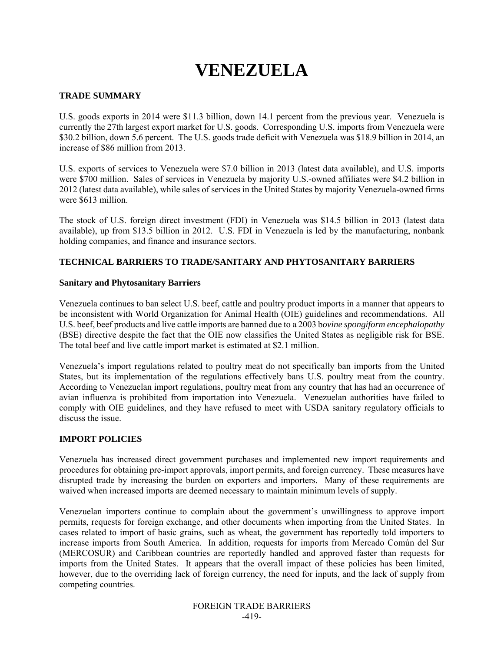# **VENEZUELA**

## **TRADE SUMMARY**

U.S. goods exports in 2014 were \$11.3 billion, down 14.1 percent from the previous year. Venezuela is currently the 27th largest export market for U.S. goods. Corresponding U.S. imports from Venezuela were \$30.2 billion, down 5.6 percent. The U.S. goods trade deficit with Venezuela was \$18.9 billion in 2014, an increase of \$86 million from 2013.

U.S. exports of services to Venezuela were \$7.0 billion in 2013 (latest data available), and U.S. imports were \$700 million. Sales of services in Venezuela by majority U.S.-owned affiliates were \$4.2 billion in 2012 (latest data available), while sales of services in the United States by majority Venezuela-owned firms were \$613 million.

The stock of U.S. foreign direct investment (FDI) in Venezuela was \$14.5 billion in 2013 (latest data available), up from \$13.5 billion in 2012. U.S. FDI in Venezuela is led by the manufacturing, nonbank holding companies, and finance and insurance sectors.

# **TECHNICAL BARRIERS TO TRADE/SANITARY AND PHYTOSANITARY BARRIERS**

### **Sanitary and Phytosanitary Barriers**

Venezuela continues to ban select U.S. beef, cattle and poultry product imports in a manner that appears to be inconsistent with World Organization for Animal Health (OIE) guidelines and recommendations. All U.S. beef, beef products and live cattle imports are banned due to a 2003 b*ovine spongiform encephalopathy* (BSE) directive despite the fact that the OIE now classifies the United States as negligible risk for BSE. The total beef and live cattle import market is estimated at \$2.1 million.

Venezuela's import regulations related to poultry meat do not specifically ban imports from the United States, but its implementation of the regulations effectively bans U.S. poultry meat from the country. According to Venezuelan import regulations, poultry meat from any country that has had an occurrence of avian influenza is prohibited from importation into Venezuela. Venezuelan authorities have failed to comply with OIE guidelines, and they have refused to meet with USDA sanitary regulatory officials to discuss the issue.

## **IMPORT POLICIES**

Venezuela has increased direct government purchases and implemented new import requirements and procedures for obtaining pre-import approvals, import permits, and foreign currency. These measures have disrupted trade by increasing the burden on exporters and importers. Many of these requirements are waived when increased imports are deemed necessary to maintain minimum levels of supply.

Venezuelan importers continue to complain about the government's unwillingness to approve import permits, requests for foreign exchange, and other documents when importing from the United States. In cases related to import of basic grains, such as wheat, the government has reportedly told importers to increase imports from South America. In addition, requests for imports from Mercado Común del Sur (MERCOSUR) and Caribbean countries are reportedly handled and approved faster than requests for imports from the United States. It appears that the overall impact of these policies has been limited, however, due to the overriding lack of foreign currency, the need for inputs, and the lack of supply from competing countries.

> FOREIGN TRADE BARRIERS -419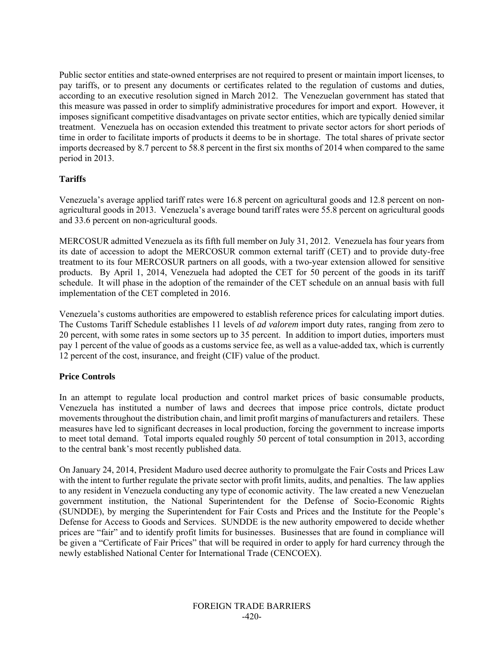Public sector entities and state-owned enterprises are not required to present or maintain import licenses, to pay tariffs, or to present any documents or certificates related to the regulation of customs and duties, according to an executive resolution signed in March 2012. The Venezuelan government has stated that this measure was passed in order to simplify administrative procedures for import and export. However, it imposes significant competitive disadvantages on private sector entities, which are typically denied similar treatment. Venezuela has on occasion extended this treatment to private sector actors for short periods of time in order to facilitate imports of products it deems to be in shortage. The total shares of private sector imports decreased by 8.7 percent to 58.8 percent in the first six months of 2014 when compared to the same period in 2013.

# **Tariffs**

Venezuela's average applied tariff rates were 16.8 percent on agricultural goods and 12.8 percent on nonagricultural goods in 2013. Venezuela's average bound tariff rates were 55.8 percent on agricultural goods and 33.6 percent on non-agricultural goods.

MERCOSUR admitted Venezuela as its fifth full member on July 31, 2012. Venezuela has four years from its date of accession to adopt the MERCOSUR common external tariff (CET) and to provide duty-free treatment to its four MERCOSUR partners on all goods, with a two-year extension allowed for sensitive products. By April 1, 2014, Venezuela had adopted the CET for 50 percent of the goods in its tariff schedule. It will phase in the adoption of the remainder of the CET schedule on an annual basis with full implementation of the CET completed in 2016.

Venezuela's customs authorities are empowered to establish reference prices for calculating import duties. The Customs Tariff Schedule establishes 11 levels of *ad valorem* import duty rates, ranging from zero to 20 percent, with some rates in some sectors up to 35 percent. In addition to import duties, importers must pay 1 percent of the value of goods as a customs service fee, as well as a value-added tax, which is currently 12 percent of the cost, insurance, and freight (CIF) value of the product.

## **Price Controls**

In an attempt to regulate local production and control market prices of basic consumable products, Venezuela has instituted a number of laws and decrees that impose price controls, dictate product movements throughout the distribution chain, and limit profit margins of manufacturers and retailers. These measures have led to significant decreases in local production, forcing the government to increase imports to meet total demand. Total imports equaled roughly 50 percent of total consumption in 2013, according to the central bank's most recently published data.

On January 24, 2014, President Maduro used decree authority to promulgate the Fair Costs and Prices Law with the intent to further regulate the private sector with profit limits, audits, and penalties. The law applies to any resident in Venezuela conducting any type of economic activity. The law created a new Venezuelan government institution, the National Superintendent for the Defense of Socio-Economic Rights (SUNDDE), by merging the Superintendent for Fair Costs and Prices and the Institute for the People's Defense for Access to Goods and Services. SUNDDE is the new authority empowered to decide whether prices are "fair" and to identify profit limits for businesses. Businesses that are found in compliance will be given a "Certificate of Fair Prices" that will be required in order to apply for hard currency through the newly established National Center for International Trade (CENCOEX).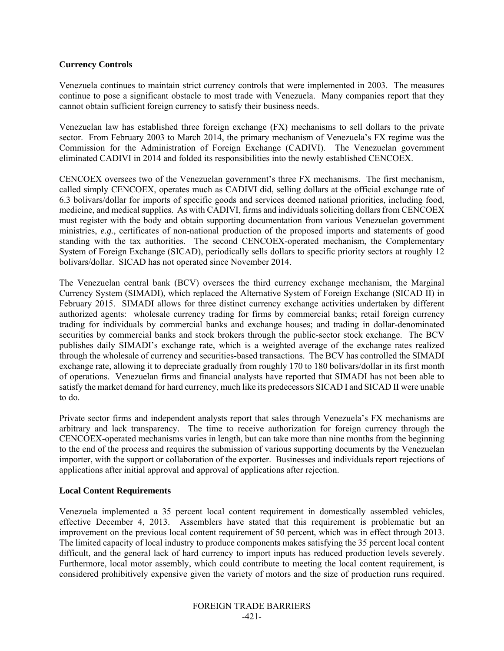### **Currency Controls**

Venezuela continues to maintain strict currency controls that were implemented in 2003. The measures continue to pose a significant obstacle to most trade with Venezuela. Many companies report that they cannot obtain sufficient foreign currency to satisfy their business needs.

Venezuelan law has established three foreign exchange (FX) mechanisms to sell dollars to the private sector. From February 2003 to March 2014, the primary mechanism of Venezuela's FX regime was the Commission for the Administration of Foreign Exchange (CADIVI). The Venezuelan government eliminated CADIVI in 2014 and folded its responsibilities into the newly established CENCOEX.

CENCOEX oversees two of the Venezuelan government's three FX mechanisms. The first mechanism, called simply CENCOEX, operates much as CADIVI did, selling dollars at the official exchange rate of 6.3 bolivars/dollar for imports of specific goods and services deemed national priorities, including food, medicine, and medical supplies. As with CADIVI, firms and individuals soliciting dollars from CENCOEX must register with the body and obtain supporting documentation from various Venezuelan government ministries, *e.g.*, certificates of non-national production of the proposed imports and statements of good standing with the tax authorities. The second CENCOEX-operated mechanism, the Complementary System of Foreign Exchange (SICAD), periodically sells dollars to specific priority sectors at roughly 12 bolivars/dollar. SICAD has not operated since November 2014.

The Venezuelan central bank (BCV) oversees the third currency exchange mechanism, the Marginal Currency System (SIMADI), which replaced the Alternative System of Foreign Exchange (SICAD II) in February 2015. SIMADI allows for three distinct currency exchange activities undertaken by different authorized agents: wholesale currency trading for firms by commercial banks; retail foreign currency trading for individuals by commercial banks and exchange houses; and trading in dollar-denominated securities by commercial banks and stock brokers through the public-sector stock exchange. The BCV publishes daily SIMADI's exchange rate, which is a weighted average of the exchange rates realized through the wholesale of currency and securities-based transactions. The BCV has controlled the SIMADI exchange rate, allowing it to depreciate gradually from roughly 170 to 180 bolivars/dollar in its first month of operations. Venezuelan firms and financial analysts have reported that SIMADI has not been able to satisfy the market demand for hard currency, much like its predecessors SICAD I and SICAD II were unable to do.

Private sector firms and independent analysts report that sales through Venezuela's FX mechanisms are arbitrary and lack transparency. The time to receive authorization for foreign currency through the CENCOEX-operated mechanisms varies in length, but can take more than nine months from the beginning to the end of the process and requires the submission of various supporting documents by the Venezuelan importer, with the support or collaboration of the exporter. Businesses and individuals report rejections of applications after initial approval and approval of applications after rejection.

## **Local Content Requirements**

Venezuela implemented a 35 percent local content requirement in domestically assembled vehicles, effective December 4, 2013. Assemblers have stated that this requirement is problematic but an improvement on the previous local content requirement of 50 percent, which was in effect through 2013. The limited capacity of local industry to produce components makes satisfying the 35 percent local content difficult, and the general lack of hard currency to import inputs has reduced production levels severely. Furthermore, local motor assembly, which could contribute to meeting the local content requirement, is considered prohibitively expensive given the variety of motors and the size of production runs required.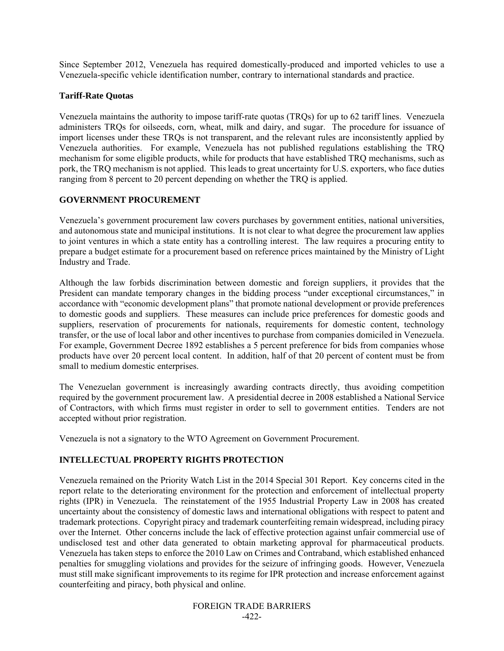Since September 2012, Venezuela has required domestically-produced and imported vehicles to use a Venezuela-specific vehicle identification number, contrary to international standards and practice.

# **Tariff-Rate Quotas**

Venezuela maintains the authority to impose tariff-rate quotas (TRQs) for up to 62 tariff lines. Venezuela administers TRQs for oilseeds, corn, wheat, milk and dairy, and sugar. The procedure for issuance of import licenses under these TRQs is not transparent, and the relevant rules are inconsistently applied by Venezuela authorities. For example, Venezuela has not published regulations establishing the TRQ mechanism for some eligible products, while for products that have established TRQ mechanisms, such as pork, the TRQ mechanism is not applied. This leads to great uncertainty for U.S. exporters, who face duties ranging from 8 percent to 20 percent depending on whether the TRQ is applied.

# **GOVERNMENT PROCUREMENT**

Venezuela's government procurement law covers purchases by government entities, national universities, and autonomous state and municipal institutions. It is not clear to what degree the procurement law applies to joint ventures in which a state entity has a controlling interest. The law requires a procuring entity to prepare a budget estimate for a procurement based on reference prices maintained by the Ministry of Light Industry and Trade.

Although the law forbids discrimination between domestic and foreign suppliers, it provides that the President can mandate temporary changes in the bidding process "under exceptional circumstances," in accordance with "economic development plans" that promote national development or provide preferences to domestic goods and suppliers. These measures can include price preferences for domestic goods and suppliers, reservation of procurements for nationals, requirements for domestic content, technology transfer, or the use of local labor and other incentives to purchase from companies domiciled in Venezuela. For example, Government Decree 1892 establishes a 5 percent preference for bids from companies whose products have over 20 percent local content. In addition, half of that 20 percent of content must be from small to medium domestic enterprises.

The Venezuelan government is increasingly awarding contracts directly, thus avoiding competition required by the government procurement law. A presidential decree in 2008 established a National Service of Contractors, with which firms must register in order to sell to government entities. Tenders are not accepted without prior registration.

Venezuela is not a signatory to the WTO Agreement on Government Procurement.

# **INTELLECTUAL PROPERTY RIGHTS PROTECTION**

Venezuela remained on the Priority Watch List in the 2014 Special 301 Report. Key concerns cited in the report relate to the deteriorating environment for the protection and enforcement of intellectual property rights (IPR) in Venezuela. The reinstatement of the 1955 Industrial Property Law in 2008 has created uncertainty about the consistency of domestic laws and international obligations with respect to patent and trademark protections. Copyright piracy and trademark counterfeiting remain widespread, including piracy over the Internet. Other concerns include the lack of effective protection against unfair commercial use of undisclosed test and other data generated to obtain marketing approval for pharmaceutical products. Venezuela has taken steps to enforce the 2010 Law on Crimes and Contraband, which established enhanced penalties for smuggling violations and provides for the seizure of infringing goods. However, Venezuela must still make significant improvements to its regime for IPR protection and increase enforcement against counterfeiting and piracy, both physical and online.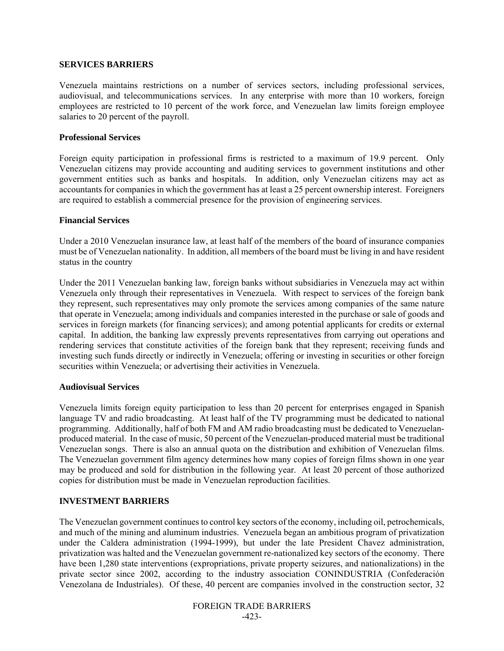#### **SERVICES BARRIERS**

Venezuela maintains restrictions on a number of services sectors, including professional services, audiovisual, and telecommunications services. In any enterprise with more than 10 workers, foreign employees are restricted to 10 percent of the work force, and Venezuelan law limits foreign employee salaries to 20 percent of the payroll.

#### **Professional Services**

Foreign equity participation in professional firms is restricted to a maximum of 19.9 percent. Only Venezuelan citizens may provide accounting and auditing services to government institutions and other government entities such as banks and hospitals. In addition, only Venezuelan citizens may act as accountants for companies in which the government has at least a 25 percent ownership interest. Foreigners are required to establish a commercial presence for the provision of engineering services.

#### **Financial Services**

Under a 2010 Venezuelan insurance law, at least half of the members of the board of insurance companies must be of Venezuelan nationality. In addition, all members of the board must be living in and have resident status in the country

Under the 2011 Venezuelan banking law, foreign banks without subsidiaries in Venezuela may act within Venezuela only through their representatives in Venezuela. With respect to services of the foreign bank they represent, such representatives may only promote the services among companies of the same nature that operate in Venezuela; among individuals and companies interested in the purchase or sale of goods and services in foreign markets (for financing services); and among potential applicants for credits or external capital. In addition, the banking law expressly prevents representatives from carrying out operations and rendering services that constitute activities of the foreign bank that they represent; receiving funds and investing such funds directly or indirectly in Venezuela; offering or investing in securities or other foreign securities within Venezuela; or advertising their activities in Venezuela.

#### **Audiovisual Services**

Venezuela limits foreign equity participation to less than 20 percent for enterprises engaged in Spanish language TV and radio broadcasting. At least half of the TV programming must be dedicated to national programming. Additionally, half of both FM and AM radio broadcasting must be dedicated to Venezuelanproduced material. In the case of music, 50 percent of the Venezuelan-produced material must be traditional Venezuelan songs. There is also an annual quota on the distribution and exhibition of Venezuelan films. The Venezuelan government film agency determines how many copies of foreign films shown in one year may be produced and sold for distribution in the following year. At least 20 percent of those authorized copies for distribution must be made in Venezuelan reproduction facilities.

## **INVESTMENT BARRIERS**

The Venezuelan government continues to control key sectors of the economy, including oil, petrochemicals, and much of the mining and aluminum industries. Venezuela began an ambitious program of privatization under the Caldera administration (1994-1999), but under the late President Chavez administration, privatization was halted and the Venezuelan government re-nationalized key sectors of the economy. There have been 1,280 state interventions (expropriations, private property seizures, and nationalizations) in the private sector since 2002, according to the industry association CONINDUSTRIA (Confederación Venezolana de Industriales). Of these, 40 percent are companies involved in the construction sector, 32